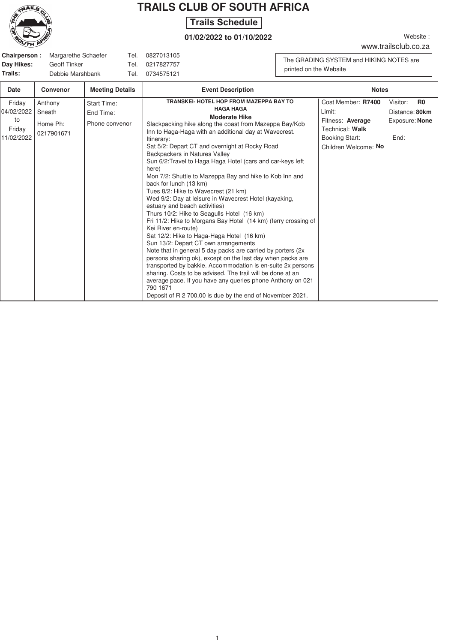

## **TRAILS CLUB OF SOUTH AFRICA**

## **Hike Schedule Trails Schedule**

## **01/02/2022 to 01/10/2022**

www.trailsclub.co.za

Website:

|            | <b>Chairperson:</b> Margarethe Schaefer | Tel. | 0827013105 |
|------------|-----------------------------------------|------|------------|
| Day Hikes: | Geoff Tinker                            | Tel. | 0217827757 |
| Trails:    | Debbie Marshbank                        | Tel. | 0734575121 |

The GRADING SYSTEM and HIKING NOTES are printed on the Website

| Date                                               | <b>Convenor</b>                             | <b>Meeting Details</b>                            | <b>Event Description</b>                                                                                                                                                                                                                                                                                                                                                                                                                                                                                                                                                                                                                                                                                                                                                                                                                                                                                                                                                                                                                                                                                                                                                                                                           | <b>Notes</b>                                                                                                  |                                                                        |  |
|----------------------------------------------------|---------------------------------------------|---------------------------------------------------|------------------------------------------------------------------------------------------------------------------------------------------------------------------------------------------------------------------------------------------------------------------------------------------------------------------------------------------------------------------------------------------------------------------------------------------------------------------------------------------------------------------------------------------------------------------------------------------------------------------------------------------------------------------------------------------------------------------------------------------------------------------------------------------------------------------------------------------------------------------------------------------------------------------------------------------------------------------------------------------------------------------------------------------------------------------------------------------------------------------------------------------------------------------------------------------------------------------------------------|---------------------------------------------------------------------------------------------------------------|------------------------------------------------------------------------|--|
| Friday<br>04/02/2022<br>to<br>Friday<br>11/02/2022 | Anthony<br>Sneath<br>Home Ph:<br>0217901671 | <b>Start Time:</b><br>End Time:<br>Phone convenor | TRANSKEI- HOTEL HOP FROM MAZEPPA BAY TO<br><b>HAGA HAGA</b><br><b>Moderate Hike</b><br>Slackpacking hike along the coast from Mazeppa Bay/Kob<br>Inn to Haga-Haga with an additional day at Wavecrest.<br>Itinerary:<br>Sat 5/2: Depart CT and overnight at Rocky Road<br>Backpackers in Natures Valley<br>Sun 6/2: Travel to Haga Haga Hotel (cars and car-keys left<br>here)<br>Mon 7/2: Shuttle to Mazeppa Bay and hike to Kob Inn and<br>back for lunch (13 km)<br>Tues 8/2: Hike to Wavecrest (21 km)<br>Wed 9/2: Day at leisure in Wavecrest Hotel (kayaking,<br>estuary and beach activities)<br>Thurs 10/2: Hike to Seagulls Hotel (16 km)<br>Fri 11/2: Hike to Morgans Bay Hotel (14 km) (ferry crossing of<br>Kei River en-route)<br>Sat 12/2: Hike to Haga-Haga Hotel (16 km)<br>Sun 13/2: Depart CT own arrangements<br>Note that in general 5 day packs are carried by porters (2x)<br>persons sharing ok), except on the last day when packs are<br>transported by bakkie. Accommodation is en-suite 2x persons<br>sharing. Costs to be advised. The trail will be done at an<br>average pace. If you have any queries phone Anthony on 021<br>790 1671<br>Deposit of R 2 700,00 is due by the end of November 2021. | Cost Member: R7400<br>Limit:<br>Fitness: Average<br>Technical: Walk<br>Booking Start:<br>Children Welcome: No | Visitor:<br>R <sub>0</sub><br>Distance: 80km<br>Exposure: None<br>End: |  |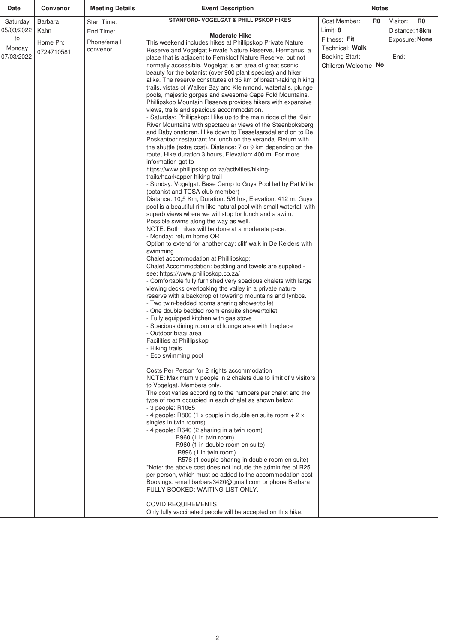| STANFORD- VOGELGAT & PHILLIPSKOP HIKES<br>Cost Member:<br>Visitor:<br>R <sub>0</sub><br>R0<br>Barbara<br>Saturday<br>Start Time:<br>Limit: 8<br>05/03/2022<br>Kahn<br>End Time:<br>Distance: 18km<br><b>Moderate Hike</b><br>to<br>Fitness: Fit<br>Exposure: None<br>Phone/email<br>Home Ph:<br>This weekend includes hikes at Phillipskop Private Nature<br>Technical: Walk<br>Monday<br>convenor<br>Reserve and Vogelgat Private Nature Reserve, Hermanus, a<br>0724710581<br>07/03/2022<br><b>Booking Start:</b><br>End:<br>place that is adjacent to Fernkloof Nature Reserve, but not<br>normally accessible. Vogelgat is an area of great scenic<br>Children Welcome: No<br>beauty for the botanist (over 900 plant species) and hiker<br>alike. The reserve constitutes of 35 km of breath-taking hiking<br>trails, vistas of Walker Bay and Kleinmond, waterfalls, plunge<br>pools, majestic gorges and awesome Cape Fold Mountains.<br>Phillipskop Mountain Reserve provides hikers with expansive<br>views, trails and spacious accommodation.<br>- Saturday: Phillipskop: Hike up to the main ridge of the Klein<br>River Mountains with spectacular views of the Steenboksberg<br>and Babylonstoren. Hike down to Tesselaarsdal and on to De<br>Poskantoor restaurant for lunch on the veranda. Return with<br>the shuttle (extra cost). Distance: 7 or 9 km depending on the<br>route, Hike duration 3 hours, Elevation: 400 m. For more<br>information got to<br>https://www.phillipskop.co.za/activities/hiking-<br>trails/haarkapper-hiking-trail<br>- Sunday: Vogelgat: Base Camp to Guys Pool led by Pat Miller<br>(botanist and TCSA club member)<br>Distance: 10,5 Km, Duration: 5/6 hrs, Elevation: 412 m. Guys<br>pool is a beautiful rim like natural pool with small waterfall with<br>superb views where we will stop for lunch and a swim.<br>Possible swims along the way as well.<br>NOTE: Both hikes will be done at a moderate pace.<br>- Monday: return home OR<br>Option to extend for another day: cliff walk in De Kelders with<br>swimming<br>Chalet accommodation at Phillipskop:<br>Chalet Accommodation: bedding and towels are supplied - |
|----------------------------------------------------------------------------------------------------------------------------------------------------------------------------------------------------------------------------------------------------------------------------------------------------------------------------------------------------------------------------------------------------------------------------------------------------------------------------------------------------------------------------------------------------------------------------------------------------------------------------------------------------------------------------------------------------------------------------------------------------------------------------------------------------------------------------------------------------------------------------------------------------------------------------------------------------------------------------------------------------------------------------------------------------------------------------------------------------------------------------------------------------------------------------------------------------------------------------------------------------------------------------------------------------------------------------------------------------------------------------------------------------------------------------------------------------------------------------------------------------------------------------------------------------------------------------------------------------------------------------------------------------------------------------------------------------------------------------------------------------------------------------------------------------------------------------------------------------------------------------------------------------------------------------------------------------------------------------------------------------------------------------------------------------------------------------------------------------------------------------------------------------------------------------------|
|                                                                                                                                                                                                                                                                                                                                                                                                                                                                                                                                                                                                                                                                                                                                                                                                                                                                                                                                                                                                                                                                                                                                                                                                                                                                                                                                                                                                                                                                                                                                                                                                                                                                                                                                                                                                                                                                                                                                                                                                                                                                                                                                                                                  |
| see: https://www.phillipskop.co.za/<br>- Comfortable fully furnished very spacious chalets with large<br>viewing decks overlooking the valley in a private nature<br>reserve with a backdrop of towering mountains and fynbos.<br>- Two twin-bedded rooms sharing shower/toilet<br>- One double bedded room ensuite shower/toilet<br>- Fully equipped kitchen with gas stove<br>- Spacious dining room and lounge area with fireplace<br>- Outdoor braai area<br>Facilities at Phillipskop<br>- Hiking trails<br>- Eco swimming pool<br>Costs Per Person for 2 nights accommodation<br>NOTE: Maximum 9 people in 2 chalets due to limit of 9 visitors<br>to Vogelgat. Members only.<br>The cost varies according to the numbers per chalet and the<br>type of room occupied in each chalet as shown below:<br>- 3 people: R1065<br>- 4 people: R800 (1 x couple in double en suite room $+ 2x$<br>singles in twin rooms)<br>- 4 people: R640 (2 sharing in a twin room)<br>R960 (1 in twin room)<br>R960 (1 in double room en suite)<br>R896 (1 in twin room)<br>R576 (1 couple sharing in double room en suite)<br>*Note: the above cost does not include the admin fee of R25                                                                                                                                                                                                                                                                                                                                                                                                                                                                                                                                                                                                                                                                                                                                                                                                                                                                                                                                                                                                  |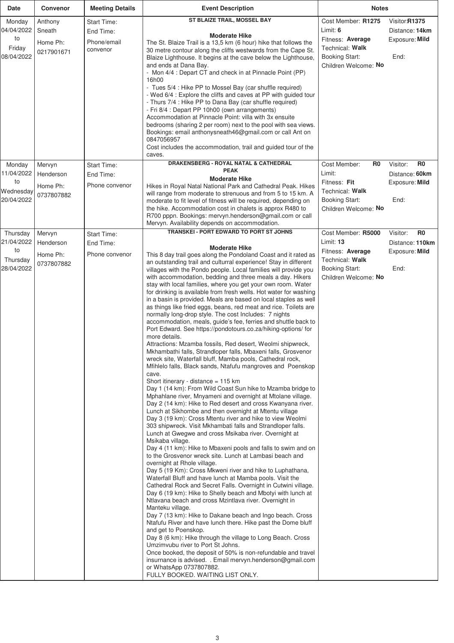| Date                                                   | <b>Convenor</b>                               | <b>Meeting Details</b>                                     | <b>Event Description</b>                                                                                                                                                                                                                                                                                                                                                                                                                                                                                                                                                                                                                                                                                                                                                                                                                                                                                                                                                                                                                                                                                                                                                                                                                                                                                                                                                                                                                                                                                                                                                                                                                                                                                                                                                                                                                                                                                                                                                                                                                                                                                                                                                                                                                                                                                                                                                                                                                                                                                                                                             | <b>Notes</b>                                                                                                             |                                                                                         |
|--------------------------------------------------------|-----------------------------------------------|------------------------------------------------------------|----------------------------------------------------------------------------------------------------------------------------------------------------------------------------------------------------------------------------------------------------------------------------------------------------------------------------------------------------------------------------------------------------------------------------------------------------------------------------------------------------------------------------------------------------------------------------------------------------------------------------------------------------------------------------------------------------------------------------------------------------------------------------------------------------------------------------------------------------------------------------------------------------------------------------------------------------------------------------------------------------------------------------------------------------------------------------------------------------------------------------------------------------------------------------------------------------------------------------------------------------------------------------------------------------------------------------------------------------------------------------------------------------------------------------------------------------------------------------------------------------------------------------------------------------------------------------------------------------------------------------------------------------------------------------------------------------------------------------------------------------------------------------------------------------------------------------------------------------------------------------------------------------------------------------------------------------------------------------------------------------------------------------------------------------------------------------------------------------------------------------------------------------------------------------------------------------------------------------------------------------------------------------------------------------------------------------------------------------------------------------------------------------------------------------------------------------------------------------------------------------------------------------------------------------------------------|--------------------------------------------------------------------------------------------------------------------------|-----------------------------------------------------------------------------------------|
| Monday<br>04/04/2022<br>to<br>Friday<br>08/04/2022     | Anthony<br>Sneath<br>Home Ph:<br>0217901671   | <b>Start Time:</b><br>End Time:<br>Phone/email<br>convenor | ST BLAIZE TRAIL, MOSSEL BAY<br><b>Moderate Hike</b><br>The St. Blaize Trail is a 13,5 km (6 hour) hike that follows the<br>30 metre contour along the cliffs westwards from the Cape St.<br>Blaize Lighthouse. It begins at the cave below the Lighthouse,<br>and ends at Dana Bay.<br>- Mon 4/4 : Depart CT and check in at Pinnacle Point (PP)<br>16h00<br>- Tues 5/4 : Hike PP to Mossel Bay (car shuffle required)<br>- Wed 6/4 : Explore the cliffs and caves at PP with guided tour<br>- Thurs 7/4 : Hike PP to Dana Bay (car shuffle required)<br>- Fri 8/4 : Depart PP 10h00 (own arrangements)<br>Accommodation at Pinnacle Point: villa with 3x ensuite<br>bedrooms (sharing 2 per room) next to the pool with sea views.<br>Bookings: email anthonysneath46@gmail.com or call Ant on<br>0847056957<br>Cost includes the accommodation, trail and guided tour of the<br>caves.<br>DRAKENSBERG - ROYAL NATAL & CATHEDRAL                                                                                                                                                                                                                                                                                                                                                                                                                                                                                                                                                                                                                                                                                                                                                                                                                                                                                                                                                                                                                                                                                                                                                                                                                                                                                                                                                                                                                                                                                                                                                                                                                                    | Cost Member: R1275<br>Limit: $6$<br>Fitness: Average<br>Technical: Walk<br><b>Booking Start:</b><br>Children Welcome: No | Visitor R1375<br>Distance: 14km<br>Exposure: Mild<br>End:<br>Visitor:<br>R <sub>0</sub> |
| Monday<br>11/04/2022                                   | Mervyn<br>Henderson                           | Start Time:<br>End Time:                                   | <b>PEAK</b>                                                                                                                                                                                                                                                                                                                                                                                                                                                                                                                                                                                                                                                                                                                                                                                                                                                                                                                                                                                                                                                                                                                                                                                                                                                                                                                                                                                                                                                                                                                                                                                                                                                                                                                                                                                                                                                                                                                                                                                                                                                                                                                                                                                                                                                                                                                                                                                                                                                                                                                                                          | Cost Member:<br>R0<br>Limit:                                                                                             | Distance: 60km                                                                          |
| to<br>Wednesday<br>20/04/2022                          | Home Ph:<br>0737807882                        | Phone convenor                                             | <b>Moderate Hike</b><br>Hikes in Royal Natal National Park and Cathedral Peak. Hikes<br>will range from moderate to strenuous and from 5 to 15 km. A<br>moderate to fit level of fitness will be required, depending on<br>the hike. Accommodation cost in chalets is approx R480 to<br>R700 pppn. Bookings: mervyn.henderson@gmail.com or call<br>Mervyn. Availability depends on accommodation.                                                                                                                                                                                                                                                                                                                                                                                                                                                                                                                                                                                                                                                                                                                                                                                                                                                                                                                                                                                                                                                                                                                                                                                                                                                                                                                                                                                                                                                                                                                                                                                                                                                                                                                                                                                                                                                                                                                                                                                                                                                                                                                                                                    | Fitness: Fit<br>Technical: Walk<br><b>Booking Start:</b><br>Children Welcome: No                                         | Exposure: Mild<br>End:                                                                  |
| Thursday<br>21/04/2022<br>to<br>Thursday<br>28/04/2022 | Mervyn<br>Henderson<br>Home Ph:<br>0737807882 | Start Time:<br>End Time:<br>Phone convenor                 | TRANSKEI - PORT EDWARD TO PORT ST JOHNS<br><b>Moderate Hike</b><br>This 8 day trail goes along the Pondoland Coast and it rated as<br>an outstanding trail and culturral experience! Stay in different<br>villages with the Pondo people. Local families will provide you<br>with accommodation, bedding and three meals a day. Hikers<br>stay with local families, where you get your own room. Water<br>for drinking is available from fresh wells. Hot water for washing<br>in a basin is provided. Meals are based on local staples as well<br>as things like fried eggs, beans, red meat and rice. Toilets are<br>normally long-drop style. The cost Includes: 7 nights<br>accommodation, meals, guide's fee, ferries and shuttle back to<br>Port Edward. See https://pondotours.co.za/hiking-options/ for<br>more details.<br>Attractions: Mzamba fossils, Red desert, Weolmi shipwreck,<br>Mkhambathi falls, Strandloper falls, Mbaxeni falls, Grosvenor<br>wreck site, Waterfall bluff, Mamba pools, Cathedral rock,<br>Mfihlelo falls, Black sands, Ntafufu mangroves and Poenskop<br>cave.<br>Short itinerary - distance = 115 km<br>Day 1 (14 km): From Wild Coast Sun hike to Mzamba bridge to<br>Mphahlane river, Mnyameni and overnight at Mtolane village.<br>Day 2 (14 km): Hike to Red desert and cross Kwanyana river.<br>Lunch at Sikhombe and then overnight at Mtentu village<br>Day 3 (19 km): Cross Mtentu river and hike to view Weolmi<br>303 shipwreck. Visit Mkhambati falls and Strandloper falls.<br>Lunch at Gwegwe and cross Msikaba river. Overnight at<br>Msikaba village.<br>Day 4 (11 km): Hike to Mbaxeni pools and falls to swim and on<br>to the Grosvenor wreck site. Lunch at Lambasi beach and<br>overnight at Rhole village.<br>Day 5 (19 Km): Cross Mkweni river and hike to Luphathana,<br>Waterfall Bluff and have lunch at Mamba pools. Visit the<br>Cathedral Rock and Secret Falls. Overnight in Cutwini village.<br>Day 6 (19 km): Hike to Shelly beach and Mbotyi with lunch at<br>Ntlavana beach and cross Mzintlava river. Overnight in<br>Manteku village.<br>Day 7 (13 km): Hike to Dakane beach and Ingo beach. Cross<br>Ntafufu River and have lunch there. Hike past the Dome bluff<br>and get to Poenskop.<br>Day 8 (6 km): Hike through the village to Long Beach. Cross<br>Umzimvubu river to Port St Johns.<br>Once booked, the deposit of 50% is non-refundable and travel<br>insurnance is advised. . Email mervyn.henderson@gmail.com<br>or WhatsApp 0737807882.<br>FULLY BOOKED. WAITING LIST ONLY. | Cost Member: R5000<br>Limit: 13<br>Fitness: Average<br>Technical: Walk<br><b>Booking Start:</b><br>Children Welcome: No  | Visitor:<br>R <sub>0</sub><br>Distance: 110km<br>Exposure: Mild<br>End:                 |